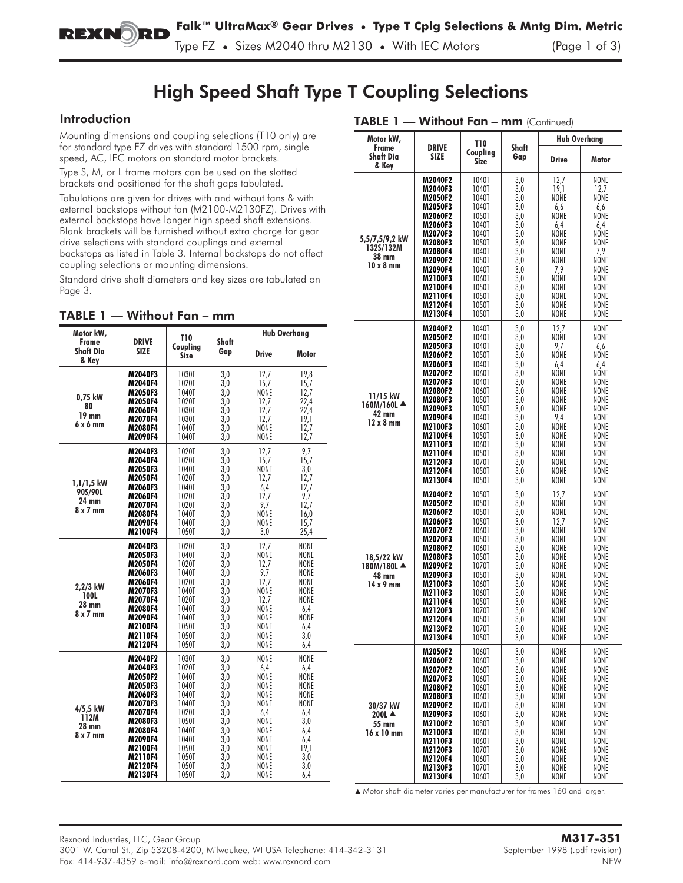# High Speed Shaft Type T Coupling Selections

## Introduction

Mounting dimensions and coupling selections (T10 only) are for standard type FZ drives with standard 1500 rpm, single speed, AC, IEC motors on standard motor brackets.

Type S, M, or L frame motors can be used on the slotted brackets and positioned for the shaft gaps tabulated.

Tabulations are given for drives with and without fans & with external backstops without fan (M2100-M2130FZ). Drives with external backstops have longer high speed shaft extensions. Blank brackets will be furnished without extra charge for gear drive selections with standard couplings and external backstops as listed in Table 3. Internal backstops do not affect coupling selections or mounting dimensions.

Standard drive shaft diameters and key sizes are tabulated on Page 3.

| Motor kW,                                           |                                                                                                                                                                             | T10                                                                                                                        |                                                                                                | <b>Hub Overhana</b>                                                                                        |                                                                                                      |  |
|-----------------------------------------------------|-----------------------------------------------------------------------------------------------------------------------------------------------------------------------------|----------------------------------------------------------------------------------------------------------------------------|------------------------------------------------------------------------------------------------|------------------------------------------------------------------------------------------------------------|------------------------------------------------------------------------------------------------------|--|
| Frame<br><b>Shaft Dia</b><br>& Key                  | <b>DRIVE</b><br><b>SIZE</b>                                                                                                                                                 | Coupling<br><b>Size</b>                                                                                                    | Shaft<br>Gap                                                                                   | <b>Drive</b>                                                                                               | Motor                                                                                                |  |
| 0,75 kW<br>80<br>19 mm<br>6 x 6 mm                  | M2040F3<br>M2040F4<br>M2050F3<br>M2050F4<br>M2060F4<br><b>M2070F4</b><br>M2080F4<br>M2090F4                                                                                 | <b>1030T</b><br>1020T<br>1040T<br>1020T<br>1030T<br>1030T<br>1040T<br>1040T                                                | 3,0<br>3,0<br>3,0<br>3,0<br>3.0<br>3,0<br>3,0<br>3,0                                           | 12,7<br>15,7<br>NONE<br>12,7<br>12,7<br>12,7<br>NONE<br>NONE                                               | 19.8<br>15,7<br>12,7<br>22,4<br>22.4<br>19,1<br>12.7<br>12,7                                         |  |
| $1,1/1,5$ kW<br>90S/90L<br>24 mm<br>$8 \times 7$ mm | M2040F3<br>M2040F4<br><b>M2050F3</b><br>M2050F4<br>M2060F3<br>M2060F4<br>M2070F4<br>M2080F4<br>M2090F4<br>M2100F4                                                           | 1020T<br>1020T<br>1040T<br>1020T<br>1040T<br>1020T<br>1020T<br>1040T<br>1040T<br>1050T                                     | 3,0<br>3,0<br>3,0<br>3,0<br>3,0<br>3,0<br>3,0<br>3,0<br>3,0<br>3,0                             | 12,7<br>15,7<br>NONE<br>12.7<br>6,4<br>12,7<br>9,7<br>NONE<br>NONE<br>3,0                                  | 9,7<br>15,7<br>3,0<br>12.7<br>12,7<br>9.7<br>12,7<br>16.0<br>15,7<br>25,4                            |  |
| 2.2/3 kW<br>100L<br>28 mm<br>$8 \times 7$ mm        | M2040F3<br>M2050F3<br>M2050F4<br>M2060F3<br>M2060F4<br><b>M2070F3</b><br>M2070F4<br>M2080F4<br>M2090F4<br>M2100F4<br>M2110F4<br>M2120F4                                     | 1020T<br>1040T<br>1020T<br><b>1040T</b><br>1020T<br>1040T<br>1020T<br>1040T<br>1040T<br>1050T<br>1050T<br><b>1050T</b>     | 3,0<br>3,0<br>3,0<br>3,0<br>3,0<br>3,0<br>3.0<br>3,0<br>3,0<br>3,0<br>3,0<br>3,0               | 12,7<br>NONE<br>12.7<br>9,7<br>12.7<br>NONE<br>12,7<br>NONE<br>NONE<br>NONE<br>NONE<br>NONE                | NONE<br>NONE<br>NONE<br>NONE<br>NONE<br>NONE<br>NONE<br>6.4<br>NONE<br>6,4<br>3,0<br>6,4             |  |
| 4/5,5 kW<br>112M<br>28 mm<br>8 x 7 mm               | M2040F2<br>M2040F3<br><b>M2050F2</b><br><b>M2050F3</b><br>M2060F3<br><b>M2070F3</b><br>M2070F4<br>M2080F3<br>M2080F4<br>M2090F4<br>M2100F4<br>M2110F4<br>M2120F4<br>M2130F4 | 1030T<br>1020T<br>1040T<br>1040T<br>1040T<br>1040T<br>1020T<br>1050T<br>1040T<br>1040T<br>1050T<br>1050T<br>1050T<br>1050T | 3,0<br>3,0<br>3,0<br>3,0<br>3,0<br>3,0<br>3.0<br>3,0<br>3,0<br>3,0<br>3,0<br>3,0<br>3,0<br>3,0 | NONE<br>6.4<br>NONE<br>NONE<br>NONE<br>NONE<br>6.4<br>NONE<br>NONE<br>NONE<br>NONE<br>NONE<br>NONE<br>NONE | NONE<br>6.4<br>NONE<br>NONE<br>NONE<br>NONE<br>6.4<br>3,0<br>6,4<br>6,4<br>19,1<br>3,0<br>3,0<br>6,4 |  |

### TABLE 1 - Without Fan - mm (Continued)

| Motor kW,                                                 |                                                                                                                                                                                                                                | <b>T10</b>                                                                                                                                                     |                                                                                                                            | <b>Hub Overhang</b>                                                                                                                       |                                                                                                                                            |  |
|-----------------------------------------------------------|--------------------------------------------------------------------------------------------------------------------------------------------------------------------------------------------------------------------------------|----------------------------------------------------------------------------------------------------------------------------------------------------------------|----------------------------------------------------------------------------------------------------------------------------|-------------------------------------------------------------------------------------------------------------------------------------------|--------------------------------------------------------------------------------------------------------------------------------------------|--|
| Frame<br><b>Shaft Dia</b><br>& Key                        | <b>DRIVE</b><br><b>SIZE</b>                                                                                                                                                                                                    | Coupling<br>Size                                                                                                                                               | Shaft<br>Gap                                                                                                               | <b>Drive</b>                                                                                                                              | Motor                                                                                                                                      |  |
| 5,5/7,5/9,2 kW<br>132S/132M<br>38 mm<br>10 x 8 mm         | M2040F2<br>M2040F3<br><b>M2050F2</b><br>M2050F3<br>M2060F2<br>M2060F3<br><b>M2070F3</b><br>M2080F3<br>M2080F4<br>M2090F2<br>M2090F4<br>M2100F3<br>M2100F4<br>M2110F4<br>M2120F4<br>M2130F4                                     | 1040T<br>1040T<br>1040T<br>1040T<br>1050T<br>1040T<br>1040T<br>1050T<br>1040T<br>1050T<br>1040T<br>1060T<br>1050T<br>1050T<br>1050T<br>1050T                   | 3,0<br>3,0<br>3,0<br>3,0<br>3,0<br>3,0<br>3,0<br>3,0<br>3,0<br>3,0<br>3,0<br>3,0<br>3,0<br>3,0<br>3,0<br>3,0               | 12,7<br>19,1<br>NONE<br>6,6<br>NONE<br>6,4<br>NONE<br>NONE<br>NONE<br>NONE<br>7,9<br>NONE<br>NONE<br>NONE<br>NONE<br>NONE                 | NONE<br>12,7<br>NONE<br>6,6<br>NONE<br>6,4<br>NONE<br>NONE<br>7,9<br>NONE<br>NONE<br>NONE<br>NONE<br>NONE<br>NONE<br>NONE                  |  |
| 11/15 kW<br>$160M/160L$ $\triangle$<br>42 mm<br>12 x 8 mm | M2040F2<br>M2050F2<br>M2050F3<br>M2060F2<br>M2060F3<br><b>M2070F2</b><br>M2070F3<br><b>M2080F2</b><br>M2080F3<br>M2090F3<br>M2090F4<br><b>M2100F3</b><br>M2100F4<br><b>M2110F3</b><br>M2110F4<br>M2120F3<br>M2120F4<br>M2130F4 | 1040T<br>1040T<br>1040T<br>1050T<br>1040T<br>1060T<br>1040T<br>1060T<br>1050T<br>1050T<br>1040T<br>1060T<br>1050T<br>1060T<br>1050T<br>1070T<br>1050T<br>1050T | 3,0<br>3,0<br>3,0<br>3,0<br>3,0<br>3,0<br>3,0<br>3,0<br>3,0<br>3,0<br>3,0<br>3,0<br>3,0<br>3,0<br>3,0<br>3,0<br>3,0<br>3,0 | 12,7<br>NONE<br>9,7<br>NONE<br>6,4<br>NONE<br>NONE<br>NONE<br>NONE<br>NONE<br>9,4<br>NONE<br>NONE<br>NONE<br>NONE<br>NONE<br>NONE<br>NONE | NONE<br>NONE<br>6,6<br>NONE<br>6,4<br>NONE<br>NONE<br>NONE<br>NONE<br>NONE<br>NONE<br>NONE<br>NONE<br>NONE<br>NONE<br>NONE<br>NONE<br>NONE |  |
| 18,5/22 kW<br>180M/180L ▲<br>48 mm<br>$14 \times 9$ mm    | M2040F2<br>M2050F2<br>M2060F2<br>M2060F3<br>M2070F2<br>M2070F3<br><b>M2080F2</b><br><b>M2080F3</b><br>M2090F2<br>M2090F3<br><b>M2100F3</b><br>M2110F3<br>M2110F4<br><b>M2120F3</b><br>M2120F4<br>M2130F2<br>M2130F4            | 1050T<br>1050T<br>1050T<br>1050T<br>1060T<br>1050T<br>1060T<br>1050T<br>1070T<br>1050T<br>1060T<br>1060T<br>1050T<br>1070T<br>1050T<br>10/01<br>1050T          | 3,0<br>3,0<br>3,0<br>3,0<br>3,0<br>3,0<br>3,0<br>3,0<br>3,0<br>$3,0$<br>3,0<br>3,0<br>3,0<br>3,0<br>3,0<br>3,0<br>3,0      | 12,7<br>NONE<br>NONE<br>12,7<br>NONE<br>NONE<br>NONE<br>NONE<br>NONE<br>NONE<br>NONE<br>NONE<br>NONE<br>NONE<br>NONE<br>NONE<br>NONE      | NONE<br>NONE<br>NONE<br>NONE<br>NONE<br>NONE<br>NONE<br>NONE<br>NONE<br>NONE<br>NONE<br>NONE<br>NONE<br>NONE<br>NONE<br>NONE<br>NONE       |  |
| 30/37 kW<br>200L $\triangle$<br>55 mm<br>16 x 10 mm       | M2050F2<br>M2060F2<br>M2070F2<br><b>M2070F3</b><br><b>M2080F2</b><br>M2080F3<br>M2090F2<br>M2090F3<br>M2100F2<br>M2100F3<br><b>M2110F3</b><br>M2120F3<br>M2120F4<br>M2130F3<br>M2130F4                                         | 1060T<br>1060T<br>1060T<br>1060T<br>1060T<br>1060T<br>1070T<br>1060T<br>1080T<br>1060T<br>1060T<br>1070T<br>1060T<br>1070T<br>1060T                            | 3,0<br>3,0<br>3,0<br>3,0<br>3,0<br>3,0<br>3,0<br>3,0<br>3,0<br>3,0<br>3,0<br>3,0<br>3,0<br>3,0<br>3,0                      | NONE<br>NONE<br>NONE<br>NONE<br>NONE<br>NONE<br>NONE<br>NONE<br>NONE<br>NONE<br>NONE<br>NONE<br>NONE<br>NONE<br>NONE                      | NONE<br>NONE<br>NONE<br>NONE<br>NONE<br>NONE<br>NONE<br>NONE<br>NONE<br>NONE<br>NONE<br>NONE<br>NONE<br>NONE<br>NONE                       |  |

▲ Motor shaft diameter varies per manufacturer for frames 160 and larger.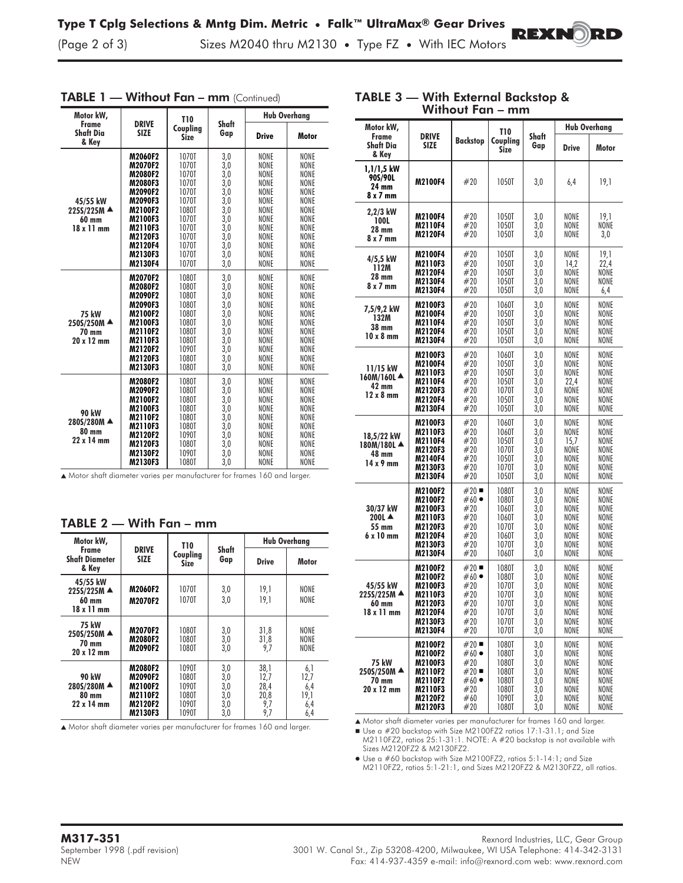(Page 2 of 3) Sizes M2040 thru M2130 **•** Type FZ **•** With IEC Motors

| Motor kW,                                             |                                                                                                                                                    | <b>T10</b>                                                                                                        |                                                                                         | <b>Hub Overhang</b>                                                                                  |                                                                                                                                                       |  |
|-------------------------------------------------------|----------------------------------------------------------------------------------------------------------------------------------------------------|-------------------------------------------------------------------------------------------------------------------|-----------------------------------------------------------------------------------------|------------------------------------------------------------------------------------------------------|-------------------------------------------------------------------------------------------------------------------------------------------------------|--|
| Frame<br>Shaft Dia<br>& Key                           | <b>DRIVE</b><br><b>SIZE</b>                                                                                                                        | Coupling<br>Size                                                                                                  | Shaft<br>Gap                                                                            | <b>Drive</b>                                                                                         | Motor                                                                                                                                                 |  |
| 45/55 kW<br>225S/225M ▲<br>60 mm<br>$18 \times 11$ mm | M2060F2<br><b>M2070F2</b><br>M2080F2<br>M2080F3<br>M2090F2<br>M2090F3<br>M2100F2<br>M2100F3<br>M2110F3<br>M2120F3<br>M2120F4<br>M2130F3<br>M2130F4 | 1070T<br>1070T<br>1070T<br>1070T<br>1070T<br>1070T<br>1080T<br>1070T<br>1070T<br>1070T<br>1070T<br>1070T<br>1070T | 3,0<br>3,0<br>3,0<br>3,0<br>3,0<br>3,0<br>3,0<br>3,0<br>3,0<br>3,0<br>3,0<br>3,0<br>3,0 | NONE<br>NONE<br>NONE<br>NONE<br>NONE<br>NONE<br>NONE<br>NONE<br>NONE<br>NONE<br>NONE<br>NONE<br>NONE | NONE<br><b>NONE</b><br>NONE<br>NONE<br><b>NONE</b><br><b>NONE</b><br>NONE<br><b>NONE</b><br><b>NONE</b><br>NONE<br><b>NONE</b><br><b>NONE</b><br>NONE |  |
| <b>75 kW</b><br>250S/250M ▲<br>70 mm<br>20 x 12 mm    | M2070F2<br>M2080F2<br>M2090F2<br>M2090F3<br>M2100F2<br>M2100F3<br>M2110F2<br>M2110F3<br>M2120F2<br>M2120F3<br>M2130F3                              | 1080T<br>1080T<br>1080T<br>1080T<br>1080T<br>1080T<br>1080T<br>1080T<br>1090T<br>1080T<br>1080T                   | 3,0<br>3,0<br>3,0<br>3,0<br>3,0<br>3,0<br>3,0<br>3,0<br>3,0<br>3,0<br>3,0               | NONE<br>NONE<br>NONE<br>NONE<br>NONE<br>NONE<br>NONE<br>NONE<br>NONE<br>NONE<br>NONE                 | NONE<br>NONE<br><b>NONE</b><br><b>NONE</b><br>NONE<br><b>NONE</b><br><b>NONE</b><br><b>NONE</b><br><b>NONE</b><br><b>NONE</b><br><b>NONE</b>          |  |
| <b>90 kW</b><br>280S/280M ▲<br>80 mm<br>22 x 14 mm    | M2080F2<br>M2090F2<br>M2100F2<br>M2100F3<br>M2110F2<br><b>M2110F3</b><br>M2120F2<br>M2120F3<br>M2130F2<br>M2130F3                                  | 1080T<br>1080T<br>1080T<br>1080T<br>1080T<br>1080T<br>1090T<br>1080T<br>1090T<br>1080T                            | 3,0<br>3,0<br>3,0<br>3,0<br>3,0<br>3,0<br>3,0<br>3,0<br>3,0<br>3,0                      | NONE<br>NONE<br>NONE<br>NONE<br>NONE<br>NONE<br>NONE<br>NONE<br>NONE<br>NONE                         | NONE<br>NONE<br><b>NONE</b><br><b>NONE</b><br><b>NONE</b><br><b>NONE</b><br><b>NONE</b><br>NONE<br><b>NONE</b><br><b>NONE</b>                         |  |

### TABLE 1 - Without Fan - mm (Continued)

#### ▲ Motor shaft diameter varies per manufacturer for frames 160 and larger.

| Motor kW,                                                 |                                                                       | T10                                                |                                        | <b>Hub Overhang</b>                        |                                          |  |
|-----------------------------------------------------------|-----------------------------------------------------------------------|----------------------------------------------------|----------------------------------------|--------------------------------------------|------------------------------------------|--|
| Frame<br><b>Shaft Diameter</b><br>& Kev                   | <b>DRIVE</b><br><b>SIZE</b>                                           | Coupling<br>Size                                   | Shaft<br>Gap                           | <b>Drive</b>                               | Motor                                    |  |
| 45/55 kW<br>225S/225M ▲<br>60 mm<br>$18 \times 11$ mm     | <b>M2060F2</b><br>M2070F2                                             | 1070T<br>1070T                                     | 3,0<br>3,0                             | 19,1<br>19.1                               | <b>NONE</b><br><b>NONE</b>               |  |
| <b>75 kW</b><br>250S/250M ▲<br>70 mm<br>20 x 12 mm        | M2070F2<br>M2080F2<br>M2090F2                                         | 1080T<br>1080T<br>1080T                            | 3,0<br>3,0<br>3.0                      | 31,8<br>31,8<br>9,7                        | NONE<br><b>NONE</b><br>NONE              |  |
| <b>90 kW</b><br>280S/280M ▲<br>80 mm<br>$22 \times 14$ mm | <b>M2080F2</b><br>M2090F2<br>M2100F2<br>M2110F2<br>M2120F2<br>M2130F3 | 1090T<br>1080T<br>1090T<br>1080T<br>1090T<br>1090T | 3,0<br>3,0<br>3,0<br>3,0<br>3,0<br>3,0 | 38,1<br>12,7<br>28,4<br>20,8<br>9,7<br>9,7 | 6,1<br>12,7<br>6,4<br>19,1<br>6,4<br>6,4 |  |

### TABLE 2 — With Fan – mm

▲ Motor shaft diameter varies per manufacturer for frames 160 and larger.

| Motor kW,                                           |                                                                                                    |                                                                | T10                                                                  |                                                      | Hub Overhang                                                 |                                                              |
|-----------------------------------------------------|----------------------------------------------------------------------------------------------------|----------------------------------------------------------------|----------------------------------------------------------------------|------------------------------------------------------|--------------------------------------------------------------|--------------------------------------------------------------|
| Frame<br>Shaft Dia<br>& Key                         | <b>DRIVE</b><br><b>SIZE</b>                                                                        | <b>Backstop</b>                                                | Coupling<br>Size                                                     | Shaft<br>Gap                                         | <b>Drive</b>                                                 | Motor                                                        |
| 1,1/1,5 kW<br>90S/90L<br>24 mm<br>8 x 7 mm          | M2100F4                                                                                            | #20                                                            | 1050T                                                                | 3,0                                                  | 6,4                                                          | 19,1                                                         |
| 2,2/3 kW<br>100L<br>28 mm<br>8 x 7 mm               | M2100F4<br>M2110F4<br>M2120F4                                                                      | #20<br>#20<br>#20                                              | 1050T<br>1050T<br>1050T                                              | 3,0<br>3,0<br>3,0                                    | NONE<br>NONE<br>NONE                                         | 19,1<br>NONE<br>3,0                                          |
| 4/5,5 kW<br>112M<br>28 mm<br>8 x 7 mm               | M2100F4<br>M2110F3<br>M2120F4<br>M2130F4<br>M2130F4                                                | #20<br>#20<br>#20<br>#20<br>#20                                | 1050T<br>1050T<br>1050T<br>1050T<br>1050T                            | 3,0<br>3,0<br>3,0<br>3,0<br>3,0                      | NONE<br>14,2<br>NONE<br>NONE<br>NONE                         | 19,1<br>22,4<br>NONE<br>NONE<br>6,4                          |
| 7,5/9,2 kW<br>132M<br>38 mm<br>10 x 8 mm            | <b>M2100F3</b><br>M2100F4<br>M2110F4<br>M2120F4<br>M2130F4                                         | #20<br>#20<br>#20<br>#20<br>#20                                | 1060T<br>1050T<br>1050T<br>1050T<br>1050T                            | 3,0<br>3,0<br>3,0<br>3,0<br>3,0                      | NONE<br>NONE<br>NONE<br>NONE<br>NONE                         | NONE<br>NONE<br>NONE<br>NONE<br>NONE                         |
| 11/15 kW<br>160M/160L▲<br>42 mm<br>$12 \times 8$ mm | M2100F3<br>M2100F4<br>M2110F3<br>M2110F4<br>M2120F3<br>M2120F4<br>M2130F4                          | #20<br>#20<br>#20<br>#20<br>#20<br>#20<br>#20                  | 1060T<br>1050T<br>1050T<br>1050T<br>1070T<br>1050T<br>1050T          | 3,0<br>3,0<br>3,0<br>3,0<br>3,0<br>3,0<br>3,0        | NONE<br>NONE<br>NONE<br>22,4<br>NONE<br>NONE<br>NONE         | NONE<br>NONE<br>NONE<br>NONE<br>NONE<br>NONE<br>NONE         |
| 18,5/22 kW<br>180M/180LA<br>48 mm<br>14 x 9 mm      | M2100F3<br><b>M2110F3</b><br>M2110F4<br>M2120F3<br>M2140F4<br>M2130F3<br>M2130F4                   | #20<br>#20<br>#20<br>#20<br>#20<br>#20<br>#20                  | 1060T<br>1060T<br>1050T<br>1070T<br>1050T<br>1070T<br>1050T          | 3,0<br>3,0<br>3,0<br>3,0<br>3,0<br>3,0<br>3,0        | NONE<br>NONE<br>15,7<br>NONE<br>NONE<br>NONE<br>NONE         | NONE<br>NONE<br>NONE<br>NONE<br>NONE<br>NONE<br>NONE         |
| 30/37 kW<br>200LA<br>55 mm<br>6 x 10 mm             | M2100F2<br>M2100F2<br>M2100F3<br>M2110F3<br>M2120F3<br>M2120F4<br>M2130F3<br>M2130F4               | #20<br>#60 ●<br>#20<br>#20<br>#20<br>#20<br>#20<br>#20         | 1080T<br>1080T<br>1060T<br>1060T<br>1070T<br>1060T<br>1070T<br>1060T | 3,0<br>3,0<br>3,0<br>3,0<br>3,0<br>3,0<br>3,0<br>3,0 | NONE<br>NONE<br>NONE<br>NONE<br>NONE<br>NONE<br>NONE<br>NONE | NONE<br>NONE<br>NONE<br>NONE<br>NONE<br>NONE<br>NONE<br>NONE |
| 45/55 kW<br>225S/225M ▲<br>60 mm<br>18 x 11 mm      | M2100F2<br>M2100F2<br>M2100F3<br>M2110F3<br>M2120F3<br>M2120F4<br>M2130F3<br>M2130F4               | #20<br>$#60 \bullet$<br>#20<br>#20<br>#20<br>#20<br>#20<br>#20 | 1080T<br>1080T<br>1070T<br>1070T<br>1070T<br>1070T<br>10701<br>1070T | 3,0<br>3,0<br>3,0<br>3,0<br>3,0<br>3,0<br>3,0<br>3,0 | NONE<br>NONE<br>NONE<br>NONE<br>NONE<br>NONE<br>NONE<br>NONE | NONE<br>NONE<br>NONE<br>NONE<br>NONE<br>NONE<br>NONE<br>NONE |
| 75 kW<br>250S/250M ▲<br>70 mm<br>20 x 12 mm         | M2100F2<br>M2100F2<br>M2100F3<br>M2110F2<br><b>M2110F2</b><br><b>M2110F3</b><br>M2120F2<br>M2120F3 | #20<br>#60 ●<br>#20<br>#20<br>#60 ●<br>#20<br>#60<br>#20       | 1080T<br>1080T<br>1080T<br>1080T<br>1080T<br>1080T<br>1090T<br>1080T | 3,0<br>3,0<br>3,0<br>3,0<br>3,0<br>3,0<br>3,0<br>3,0 | NONE<br>NONE<br>NONE<br>NONE<br>NONE<br>NONE<br>NONE<br>NONE | NONE<br>NONE<br>NONE<br>NONE<br>NONE<br>NONE<br>NONE<br>NONE |

### TABLE 3 — With External Backstop & Without Fan – mm

EX DI

▲ Motor shaft diameter varies per manufacturer for frames 160 and larger.

■ Use a #20 backstop with Size M2100FZ2 ratios 17:1-31.1; and Size M2110FZ2, ratios 25:1-31:1. NOTE: A #20 backstop is not available with Sizes M2120FZ2 & M2130FZ2.

 Use a #60 backstop with Size M2100FZ2, ratios 5:1-14:1; and Size M2110FZ2, ratios 5:1-21:1, and Sizes M2120FZ2 & M2130FZ2, all ratios.

**M317-351** Rexnord Industries, LLC, Gear Group September 1998 (.pdf revision) 3001 W. Canal St., Zip 53208-4200, Milwaukee, WI USA Telephone: 414-342-3131

NEW Fax: 414-937-4359 e-mail: info@rexnord.com web: www.rexnord.com